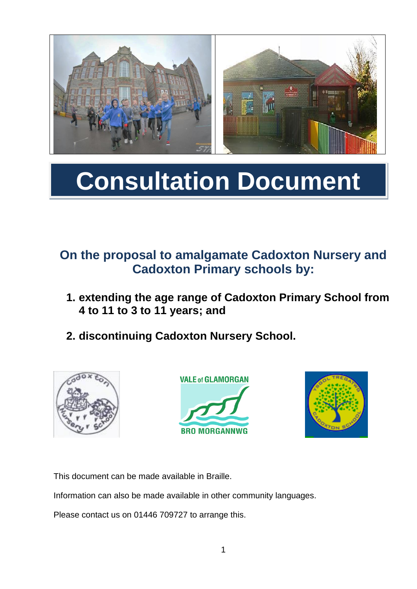

# **Consultation Document**

# **On the proposal to amalgamate Cadoxton Nursery and Cadoxton Primary schools by:**

- **1. extending the age range of Cadoxton Primary School from 4 to 11 to 3 to 11 years; and**
- **2. discontinuing Cadoxton Nursery School.**







This document can be made available in Braille.

Information can also be made available in other community languages.

Please contact us on 01446 709727 to arrange this.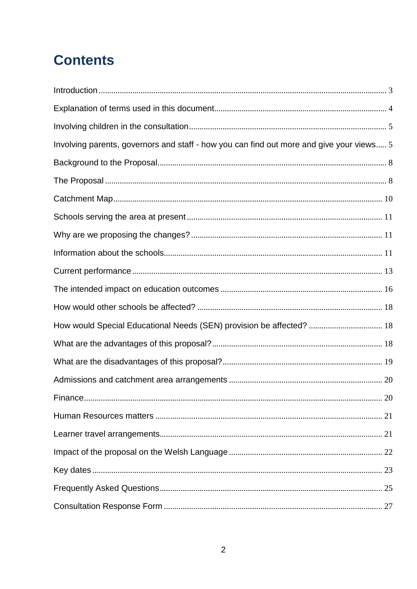# **Contents**

| Involving parents, governors and staff - how you can find out more and give your views 5 |  |
|------------------------------------------------------------------------------------------|--|
|                                                                                          |  |
|                                                                                          |  |
|                                                                                          |  |
|                                                                                          |  |
|                                                                                          |  |
|                                                                                          |  |
|                                                                                          |  |
|                                                                                          |  |
|                                                                                          |  |
| How would Special Educational Needs (SEN) provision be affected?  18                     |  |
|                                                                                          |  |
|                                                                                          |  |
|                                                                                          |  |
|                                                                                          |  |
|                                                                                          |  |
|                                                                                          |  |
|                                                                                          |  |
|                                                                                          |  |
|                                                                                          |  |
|                                                                                          |  |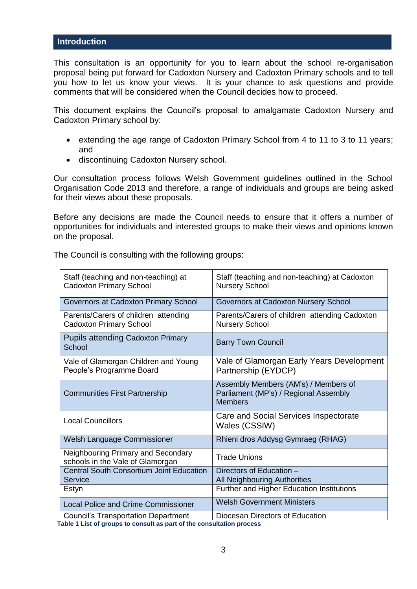#### <span id="page-2-0"></span>**Introduction**

This consultation is an opportunity for you to learn about the school re-organisation proposal being put forward for Cadoxton Nursery and Cadoxton Primary schools and to tell you how to let us know your views. It is your chance to ask questions and provide comments that will be considered when the Council decides how to proceed.

This document explains the Council's proposal to amalgamate Cadoxton Nursery and Cadoxton Primary school by:

- extending the age range of Cadoxton Primary School from 4 to 11 to 3 to 11 years; and
- discontinuing Cadoxton Nursery school.

Our consultation process follows Welsh Government guidelines outlined in the School Organisation Code 2013 and therefore, a range of individuals and groups are being asked for their views about these proposals.

Before any decisions are made the Council needs to ensure that it offers a number of opportunities for individuals and interested groups to make their views and opinions known on the proposal.

The Council is consulting with the following groups:

| Staff (teaching and non-teaching) at<br><b>Cadoxton Primary School</b> | Staff (teaching and non-teaching) at Cadoxton<br><b>Nursery School</b>                          |
|------------------------------------------------------------------------|-------------------------------------------------------------------------------------------------|
| Governors at Cadoxton Primary School                                   | Governors at Cadoxton Nursery School                                                            |
| Parents/Carers of children attending<br><b>Cadoxton Primary School</b> | Parents/Carers of children attending Cadoxton<br><b>Nursery School</b>                          |
| <b>Pupils attending Cadoxton Primary</b><br>School                     | <b>Barry Town Council</b>                                                                       |
| Vale of Glamorgan Children and Young<br>People's Programme Board       | Vale of Glamorgan Early Years Development<br>Partnership (EYDCP)                                |
| <b>Communities First Partnership</b>                                   | Assembly Members (AM's) / Members of<br>Parliament (MP's) / Regional Assembly<br><b>Members</b> |
| <b>Local Councillors</b>                                               | Care and Social Services Inspectorate<br>Wales (CSSIW)                                          |
| Welsh Language Commissioner                                            | Rhieni dros Addysg Gymraeg (RHAG)                                                               |
| Neighbouring Primary and Secondary<br>schools in the Vale of Glamorgan | <b>Trade Unions</b>                                                                             |
| <b>Central South Consortium Joint Education</b><br>Service             | Directors of Education -<br><b>All Neighbouring Authorities</b>                                 |
| Estyn                                                                  | Further and Higher Education Institutions                                                       |
| <b>Local Police and Crime Commissioner</b>                             | <b>Welsh Government Ministers</b>                                                               |
| <b>Council's Transportation Department</b>                             | Diocesan Directors of Education                                                                 |

 **Table 1 List of groups to consult as part of the consultation process**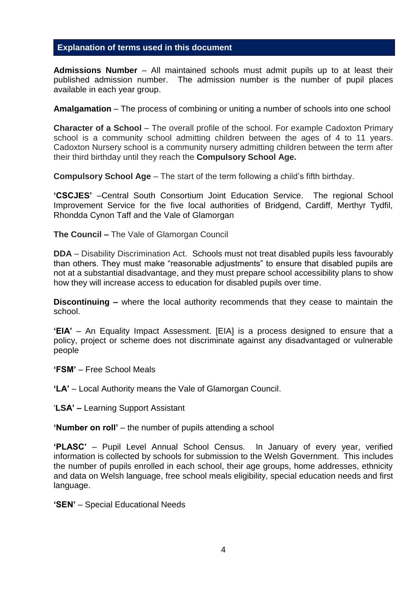#### <span id="page-3-0"></span>**Explanation of terms used in this document**

**Admissions Number** – All maintained schools must admit pupils up to at least their published admission number. The admission number is the number of pupil places available in each year group.

**Amalgamation** – The process of combining or uniting a number of schools into one school

**Character of a School** – The overall profile of the school. For example Cadoxton Primary school is a community school admitting children between the ages of 4 to 11 years. Cadoxton Nursery school is a community nursery admitting children between the term after their third birthday until they reach the **Compulsory School Age.**

**Compulsory School Age** – The start of the term following a child's fifth birthday.

**'CSCJES'** –Central South Consortium Joint Education Service. The regional School Improvement Service for the five local authorities of Bridgend, Cardiff, Merthyr Tydfil, Rhondda Cynon Taff and the Vale of Glamorgan

**The Council –** The Vale of Glamorgan Council

**DDA** – Disability Discrimination Act. Schools must not treat disabled pupils less favourably than others. They must make "reasonable adjustments" to ensure that disabled pupils are not at a substantial disadvantage, and they must prepare school accessibility plans to show how they will increase access to education for disabled pupils over time.

**Discontinuing –** where the local authority recommends that they cease to maintain the school.

**'EIA'** – An Equality Impact Assessment. [EIA] is a process designed to ensure that a policy, project or scheme does not discriminate against any disadvantaged or vulnerable people

- **'FSM'** Free School Meals
- **'LA'** Local Authority means the Vale of Glamorgan Council.

'**LSA' –** Learning Support Assistant

**'Number on roll'** – the number of pupils attending a school

**'PLASC'** – Pupil Level Annual School Census. In January of every year, verified information is collected by schools for submission to the Welsh Government. This includes the number of pupils enrolled in each school, their age groups, home addresses, ethnicity and data on Welsh language, free school meals eligibility, special education needs and first language.

**'SEN'** – Special Educational Needs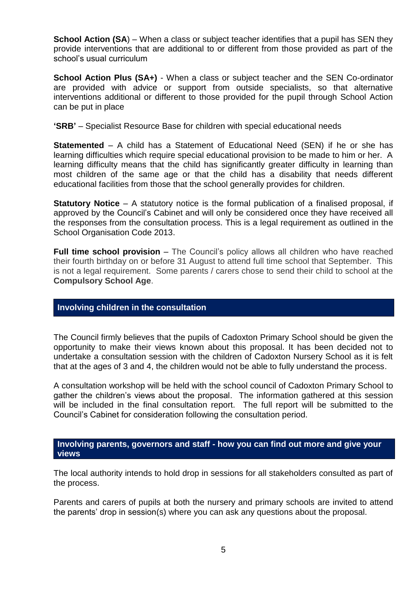**School Action (SA**) – When a class or subject teacher identifies that a pupil has SEN they provide interventions that are additional to or different from those provided as part of the school's usual curriculum

**School Action Plus (SA+)** - When a class or subject teacher and the SEN Co-ordinator are provided with advice or support from outside specialists, so that alternative interventions additional or different to those provided for the pupil through School Action can be put in place

**'SRB'** – Specialist Resource Base for children with special educational needs

**Statemented** – A child has a Statement of Educational Need (SEN) if he or she has learning difficulties which require special educational provision to be made to him or her. A learning difficulty means that the child has significantly greater difficulty in learning than most children of the same age or that the child has a disability that needs different educational facilities from those that the school generally provides for children.

**Statutory Notice** – A statutory notice is the formal publication of a finalised proposal, if approved by the Council's Cabinet and will only be considered once they have received all the responses from the consultation process. This is a legal requirement as outlined in the School Organisation Code 2013.

**Full time school provision** – The Council's policy allows all children who have reached their fourth birthday on or before 31 August to attend full time school that September. This is not a legal requirement. Some parents / carers chose to send their child to school at the **Compulsory School Age**.

#### <span id="page-4-0"></span>**Involving children in the consultation**

The Council firmly believes that the pupils of Cadoxton Primary School should be given the opportunity to make their views known about this proposal. It has been decided not to undertake a consultation session with the children of Cadoxton Nursery School as it is felt that at the ages of 3 and 4, the children would not be able to fully understand the process.

A consultation workshop will be held with the school council of Cadoxton Primary School to gather the children's views about the proposal. The information gathered at this session will be included in the final consultation report. The full report will be submitted to the Council's Cabinet for consideration following the consultation period.

#### <span id="page-4-1"></span>**Involving parents, governors and staff - how you can find out more and give your views**

The local authority intends to hold drop in sessions for all stakeholders consulted as part of the process.

Parents and carers of pupils at both the nursery and primary schools are invited to attend the parents' drop in session(s) where you can ask any questions about the proposal.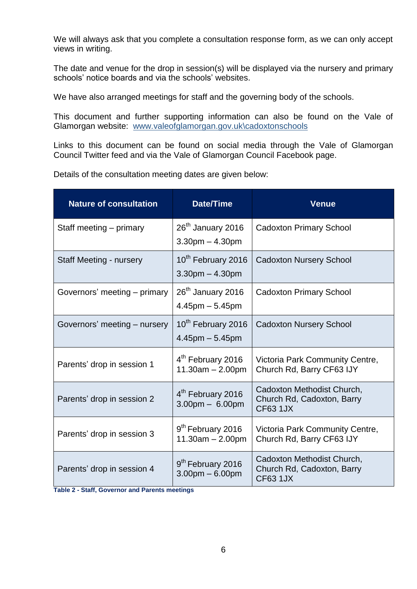We will always ask that you complete a consultation response form, as we can only accept views in writing.

The date and venue for the drop in session(s) will be displayed via the nursery and primary schools' notice boards and via the schools' websites.

We have also arranged meetings for staff and the governing body of the schools.

This document and further supporting information can also be found on the Vale of Glamorgan website: [www.valeofglamorgan.gov.uk\cadoxtonschools](http://www.valeofglamorgan.gov.uk/cadoxtonschools)

Links to this document can be found on social media through the Vale of Glamorgan Council Twitter feed and via the Vale of Glamorgan Council Facebook page.

Details of the consultation meeting dates are given below:

| <b>Nature of consultation</b>  | <b>Date/Time</b>                                                   | <b>Venue</b>                                                                |
|--------------------------------|--------------------------------------------------------------------|-----------------------------------------------------------------------------|
| Staff meeting – primary        | 26 <sup>th</sup> January 2016<br>$3.30$ pm $- 4.30$ pm             | <b>Cadoxton Primary School</b>                                              |
| <b>Staff Meeting - nursery</b> | 10 <sup>th</sup> February 2016<br>$3.30$ pm $- 4.30$ pm            | <b>Cadoxton Nursery School</b>                                              |
| Governors' meeting – primary   | 26 <sup>th</sup> January 2016<br>$4.45$ pm $-5.45$ pm              | <b>Cadoxton Primary School</b>                                              |
| Governors' meeting - nursery   | 10 <sup>th</sup> February 2016<br>$4.45$ pm $-5.45$ pm             | <b>Cadoxton Nursery School</b>                                              |
| Parents' drop in session 1     | 4 <sup>th</sup> February 2016<br>$11.30am - 2.00pm$                | Victoria Park Community Centre,<br>Church Rd, Barry CF63 IJY                |
| Parents' drop in session 2     | 4 <sup>th</sup> February 2016<br>$3.00 \text{pm} - 6.00 \text{pm}$ | Cadoxton Methodist Church,<br>Church Rd, Cadoxton, Barry<br><b>CF63 1JX</b> |
| Parents' drop in session 3     | 9 <sup>th</sup> February 2016<br>$11.30am - 2.00pm$                | Victoria Park Community Centre,<br>Church Rd, Barry CF63 IJY                |
| Parents' drop in session 4     | 9 <sup>th</sup> February 2016<br>$3.00pm - 6.00pm$                 | Cadoxton Methodist Church,<br>Church Rd, Cadoxton, Barry<br><b>CF63 1JX</b> |

**Table 2 - Staff, Governor and Parents meetings**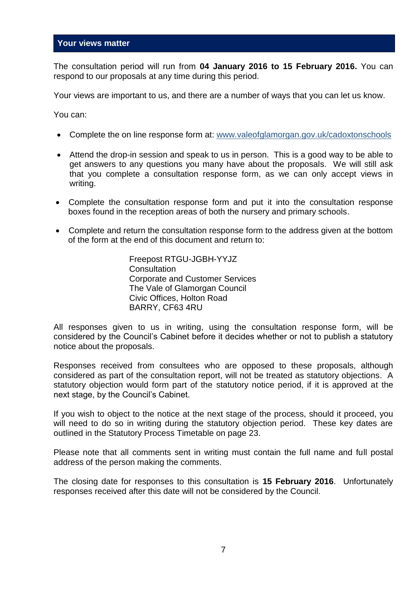#### **Your views matter**

The consultation period will run from **04 January 2016 to 15 February 2016.** You can respond to our proposals at any time during this period.

Your views are important to us, and there are a number of ways that you can let us know.

You can:

- Complete the on line response form at: [www.valeofglamorgan.gov.uk/cadoxtonschools](http://www.valeofglamorgan.gov.uk/cadoxtonschools)
- Attend the drop-in session and speak to us in person. This is a good way to be able to get answers to any questions you many have about the proposals. We will still ask that you complete a consultation response form, as we can only accept views in writing.
- Complete the consultation response form and put it into the consultation response boxes found in the reception areas of both the nursery and primary schools.
- Complete and return the consultation response form to the address given at the bottom of the form at the end of this document and return to:

Freepost RTGU-JGBH-YYJZ **Consultation** Corporate and Customer Services The Vale of Glamorgan Council Civic Offices, Holton Road BARRY, CF63 4RU

All responses given to us in writing, using the consultation response form, will be considered by the Council's Cabinet before it decides whether or not to publish a statutory notice about the proposals.

Responses received from consultees who are opposed to these proposals, although considered as part of the consultation report, will not be treated as statutory objections. A statutory objection would form part of the statutory notice period, if it is approved at the next stage, by the Council's Cabinet.

If you wish to object to the notice at the next stage of the process, should it proceed, you will need to do so in writing during the statutory objection period. These key dates are outlined in the Statutory Process Timetable on page 23.

Please note that all comments sent in writing must contain the full name and full postal address of the person making the comments.

The closing date for responses to this consultation is **15 February 2016**. Unfortunately responses received after this date will not be considered by the Council.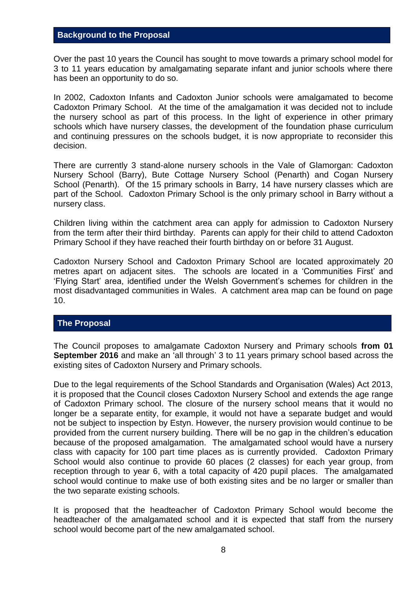#### <span id="page-7-0"></span>**Background to the Proposal**

Over the past 10 years the Council has sought to move towards a primary school model for 3 to 11 years education by amalgamating separate infant and junior schools where there has been an opportunity to do so.

In 2002, Cadoxton Infants and Cadoxton Junior schools were amalgamated to become Cadoxton Primary School. At the time of the amalgamation it was decided not to include the nursery school as part of this process. In the light of experience in other primary schools which have nursery classes, the development of the foundation phase curriculum and continuing pressures on the schools budget, it is now appropriate to reconsider this decision.

There are currently 3 stand-alone nursery schools in the Vale of Glamorgan: Cadoxton Nursery School (Barry), Bute Cottage Nursery School (Penarth) and Cogan Nursery School (Penarth). Of the 15 primary schools in Barry, 14 have nursery classes which are part of the School. Cadoxton Primary School is the only primary school in Barry without a nursery class.

Children living within the catchment area can apply for admission to Cadoxton Nursery from the term after their third birthday. Parents can apply for their child to attend Cadoxton Primary School if they have reached their fourth birthday on or before 31 August.

Cadoxton Nursery School and Cadoxton Primary School are located approximately 20 metres apart on adjacent sites. The schools are located in a 'Communities First' and 'Flying Start' area, identified under the Welsh Government's schemes for children in the most disadvantaged communities in Wales. A catchment area map can be found on page 10.

#### <span id="page-7-1"></span>**The Proposal**

The Council proposes to amalgamate Cadoxton Nursery and Primary schools **from 01 September 2016** and make an 'all through' 3 to 11 years primary school based across the existing sites of Cadoxton Nursery and Primary schools.

Due to the legal requirements of the School Standards and Organisation (Wales) Act 2013, it is proposed that the Council closes Cadoxton Nursery School and extends the age range of Cadoxton Primary school. The closure of the nursery school means that it would no longer be a separate entity, for example, it would not have a separate budget and would not be subject to inspection by Estyn. However, the nursery provision would continue to be provided from the current nursery building. There will be no gap in the children's education because of the proposed amalgamation. The amalgamated school would have a nursery class with capacity for 100 part time places as is currently provided. Cadoxton Primary School would also continue to provide 60 places (2 classes) for each year group, from reception through to year 6, with a total capacity of 420 pupil places. The amalgamated school would continue to make use of both existing sites and be no larger or smaller than the two separate existing schools.

It is proposed that the headteacher of Cadoxton Primary School would become the headteacher of the amalgamated school and it is expected that staff from the nursery school would become part of the new amalgamated school.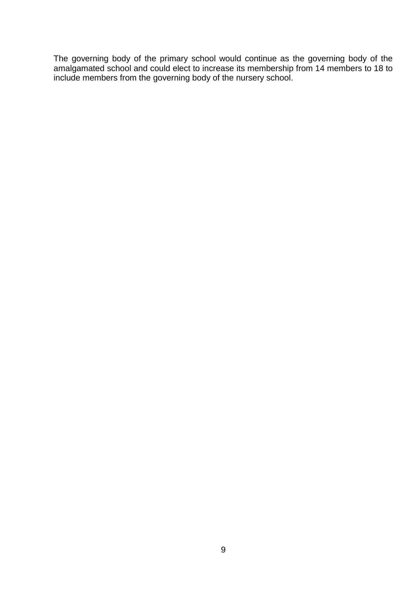The governing body of the primary school would continue as the governing body of the amalgamated school and could elect to increase its membership from 14 members to 18 to include members from the governing body of the nursery school.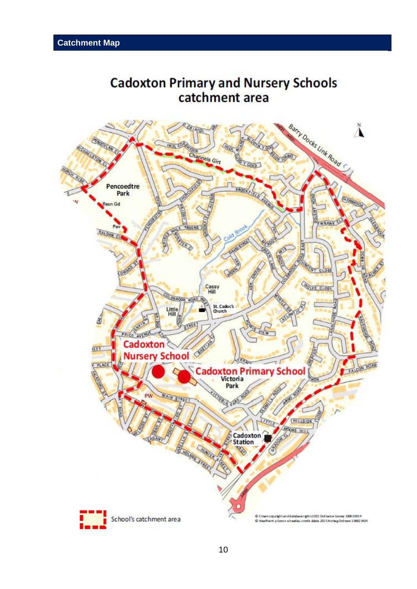# <span id="page-9-0"></span>**Cadoxton Primary and Nursery Schools** catchment area

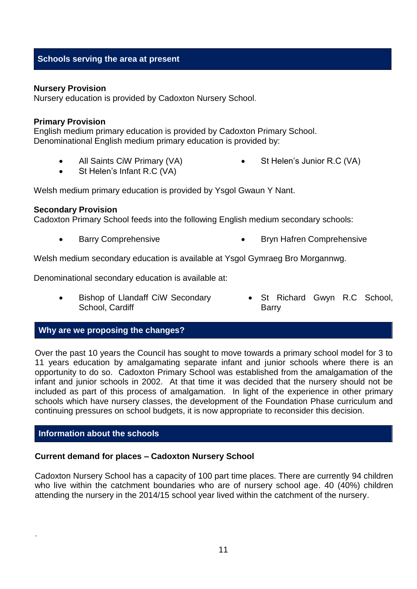#### <span id="page-10-0"></span>**Schools serving the area at present**

#### **Nursery Provision**

Nursery education is provided by Cadoxton Nursery School.

#### **Primary Provision**

English medium primary education is provided by Cadoxton Primary School. Denominational English medium primary education is provided by:

- All Saints CiW Primary (VA)
- St Helen's Junior R.C (VA)

St Helen's Infant R.C (VA)

Welsh medium primary education is provided by Ysgol Gwaun Y Nant.

#### **Secondary Provision**

Cadoxton Primary School feeds into the following English medium secondary schools:

Barry Comprehensive **Bryn Hafren Comprehensive Bryn Hafren Comprehensive** 

Welsh medium secondary education is available at Ysgol Gymraeg Bro Morgannwg.

Denominational secondary education is available at:

- Bishop of Llandaff CiW Secondary School, Cardiff
- St Richard Gwyn R.C School, Barry

#### <span id="page-10-1"></span>**Why are we proposing the changes?**

Over the past 10 years the Council has sought to move towards a primary school model for 3 to 11 years education by amalgamating separate infant and junior schools where there is an opportunity to do so. Cadoxton Primary School was established from the amalgamation of the infant and junior schools in 2002. At that time it was decided that the nursery should not be included as part of this process of amalgamation. In light of the experience in other primary schools which have nursery classes, the development of the Foundation Phase curriculum and continuing pressures on school budgets, it is now appropriate to reconsider this decision.

#### <span id="page-10-2"></span>**Information about the schools**

.

#### **Current demand for places – Cadoxton Nursery School**

Cadoxton Nursery School has a capacity of 100 part time places. There are currently 94 children who live within the catchment boundaries who are of nursery school age. 40 (40%) children attending the nursery in the 2014/15 school year lived within the catchment of the nursery.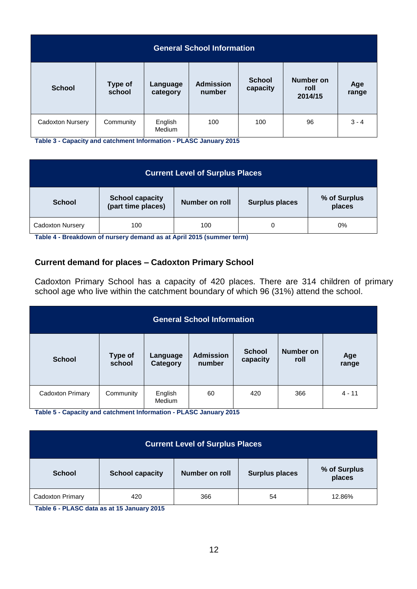| <b>General School Information</b> |                          |                          |                            |                           |                              |              |
|-----------------------------------|--------------------------|--------------------------|----------------------------|---------------------------|------------------------------|--------------|
| <b>School</b>                     | <b>Type of</b><br>school | Language<br>category     | <b>Admission</b><br>number | <b>School</b><br>capacity | Number on<br>roll<br>2014/15 | Age<br>range |
| Cadoxton Nursery                  | Community                | English<br><b>Medium</b> | 100                        | 100                       | 96                           | $3 - 4$      |

**Table 3 - Capacity and catchment Information - PLASC January 2015**

| <b>Current Level of Surplus Places</b> |                                              |                |                       |                        |  |
|----------------------------------------|----------------------------------------------|----------------|-----------------------|------------------------|--|
| <b>School</b>                          | <b>School capacity</b><br>(part time places) | Number on roll | <b>Surplus places</b> | % of Surplus<br>places |  |
| <b>Cadoxton Nursery</b>                | 100                                          | 100            | 0                     | 0%                     |  |

**Table 4 - Breakdown of nursery demand as at April 2015 (summer term)**

#### **Current demand for places – Cadoxton Primary School**

Cadoxton Primary School has a capacity of 420 places. There are 314 children of primary school age who live within the catchment boundary of which 96 (31%) attend the school.

| <b>General School Information</b> |                          |                      |                            |                           |                   |              |
|-----------------------------------|--------------------------|----------------------|----------------------------|---------------------------|-------------------|--------------|
| <b>School</b>                     | <b>Type of</b><br>school | Language<br>Category | <b>Admission</b><br>number | <b>School</b><br>capacity | Number on<br>roll | Age<br>range |
| Cadoxton Primary                  | Community                | English<br>Medium    | 60                         | 420                       | 366               | $4 - 11$     |

**Table 5 - Capacity and catchment Information - PLASC January 2015**

| <b>Current Level of Surplus Places</b> |                        |                       |                       |                        |  |
|----------------------------------------|------------------------|-----------------------|-----------------------|------------------------|--|
| <b>School</b>                          | <b>School capacity</b> | <b>Number on roll</b> | <b>Surplus places</b> | % of Surplus<br>places |  |
| Cadoxton Primary                       | 420                    | 366                   | 54                    | 12.86%                 |  |

**Table 6 - PLASC data as at 15 January 2015**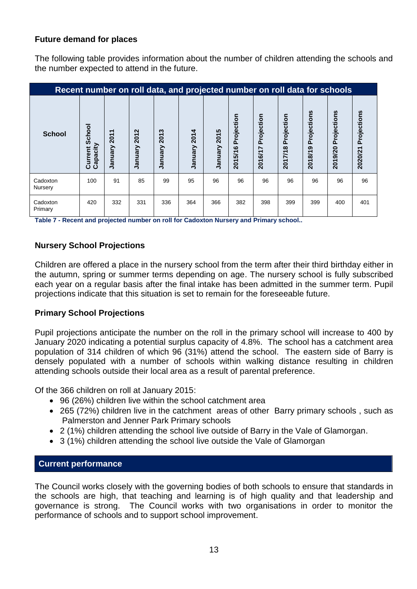#### **Future demand for places**

The following table provides information about the number of children attending the schools and the number expected to attend in the future.

| Recent number on roll data, and projected number on roll data for schools |                               |                  |                                     |                     |                 |                 |                       |                       |                       |                        |                        |                        |
|---------------------------------------------------------------------------|-------------------------------|------------------|-------------------------------------|---------------------|-----------------|-----------------|-----------------------|-----------------------|-----------------------|------------------------|------------------------|------------------------|
| <b>School</b>                                                             | School<br>Capacity<br>Current | 2011<br>Vienuary | $\mathbf{\Omega}$<br>201<br>January | S<br>201<br>January | 2014<br>January | 2015<br>January | Projection<br>2015/16 | Projection<br>2016/17 | Projection<br>2017/18 | Projections<br>2018/19 | Projections<br>2019/20 | Projections<br>2020/21 |
| Cadoxton<br>Nursery                                                       | 100                           | 91               | 85                                  | 99                  | 95              | 96              | 96                    | 96                    | 96                    | 96                     | 96                     | 96                     |
| Cadoxton<br>Primary                                                       | 420                           | 332              | 331                                 | 336                 | 364             | 366             | 382                   | 398                   | 399                   | 399                    | 400                    | 401                    |

**Table 7 - Recent and projected number on roll for Cadoxton Nursery and Primary school..**

#### **Nursery School Projections**

Children are offered a place in the nursery school from the term after their third birthday either in the autumn, spring or summer terms depending on age. The nursery school is fully subscribed each year on a regular basis after the final intake has been admitted in the summer term. Pupil projections indicate that this situation is set to remain for the foreseeable future.

#### **Primary School Projections**

Pupil projections anticipate the number on the roll in the primary school will increase to 400 by January 2020 indicating a potential surplus capacity of 4.8%. The school has a catchment area population of 314 children of which 96 (31%) attend the school. The eastern side of Barry is densely populated with a number of schools within walking distance resulting in children attending schools outside their local area as a result of parental preference.

Of the 366 children on roll at January 2015:

- 96 (26%) children live within the school catchment area
- 265 (72%) children live in the catchment areas of other Barry primary schools , such as Palmerston and Jenner Park Primary schools
- 2 (1%) children attending the school live outside of Barry in the Vale of Glamorgan.
- 3 (1%) children attending the school live outside the Vale of Glamorgan

#### <span id="page-12-0"></span>**Current performance**

The Council works closely with the governing bodies of both schools to ensure that standards in the schools are high, that teaching and learning is of high quality and that leadership and governance is strong. The Council works with two organisations in order to monitor the performance of schools and to support school improvement.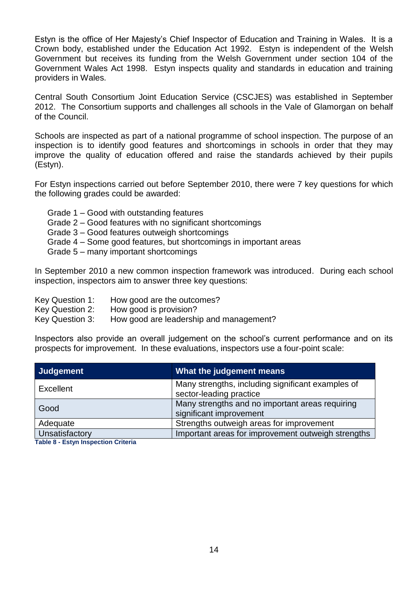Estyn is the office of Her Majesty's Chief Inspector of Education and Training in Wales. It is a Crown body, established under the Education Act 1992. Estyn is independent of the Welsh Government but receives its funding from the Welsh Government under section 104 of the Government Wales Act 1998. Estyn inspects quality and standards in education and training providers in Wales.

Central South Consortium Joint Education Service (CSCJES) was established in September 2012. The Consortium supports and challenges all schools in the Vale of Glamorgan on behalf of the Council.

Schools are inspected as part of a national programme of school inspection. The purpose of an inspection is to identify good features and shortcomings in schools in order that they may improve the quality of education offered and raise the standards achieved by their pupils (Estyn).

For Estyn inspections carried out before September 2010, there were 7 key questions for which the following grades could be awarded:

- Grade 1 Good with outstanding features
- Grade 2 Good features with no significant shortcomings
- Grade 3 Good features outweigh shortcomings
- Grade 4 Some good features, but shortcomings in important areas
- Grade 5 many important shortcomings

In September 2010 a new common inspection framework was introduced. During each school inspection, inspectors aim to answer three key questions:

- Key Question 1: How good are the outcomes?
- Key Question 2: How good is provision?
- Key Question 3: How good are leadership and management?

Inspectors also provide an overall judgement on the school's current performance and on its prospects for improvement. In these evaluations, inspectors use a four-point scale:

| Judgement             | What the judgement means                                                     |
|-----------------------|------------------------------------------------------------------------------|
| Excellent             | Many strengths, including significant examples of<br>sector-leading practice |
| Good                  | Many strengths and no important areas requiring<br>significant improvement   |
| Adequate              | Strengths outweigh areas for improvement                                     |
| <b>Unsatisfactory</b> | Important areas for improvement outweigh strengths                           |

**Table 8 - Estyn Inspection Criteria**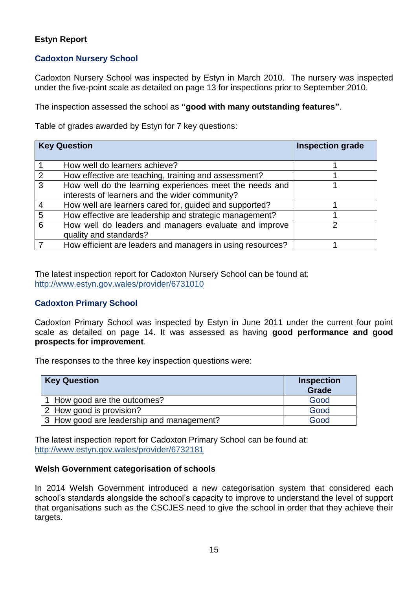#### **Estyn Report**

#### **Cadoxton Nursery School**

Cadoxton Nursery School was inspected by Estyn in March 2010. The nursery was inspected under the five-point scale as detailed on page 13 for inspections prior to September 2010.

The inspection assessed the school as **"good with many outstanding features"**.

Table of grades awarded by Estyn for 7 key questions:

|   | <b>Key Question</b>                                        | <b>Inspection grade</b> |
|---|------------------------------------------------------------|-------------------------|
|   |                                                            |                         |
|   | How well do learners achieve?                              |                         |
| 2 | How effective are teaching, training and assessment?       |                         |
| 3 | How well do the learning experiences meet the needs and    |                         |
|   | interests of learners and the wider community?             |                         |
|   | How well are learners cared for, guided and supported?     |                         |
| 5 | How effective are leadership and strategic management?     |                         |
| 6 | How well do leaders and managers evaluate and improve      |                         |
|   | quality and standards?                                     |                         |
|   | How efficient are leaders and managers in using resources? |                         |

The latest inspection report for Cadoxton Nursery School can be found at: <http://www.estyn.gov.wales/provider/6731010>

#### **Cadoxton Primary School**

Cadoxton Primary School was inspected by Estyn in June 2011 under the current four point scale as detailed on page 14. It was assessed as having **good performance and good prospects for improvement**.

The responses to the three key inspection questions were:

| <b>Key Question</b>                       | <b>Inspection</b><br><b>Grade</b> |
|-------------------------------------------|-----------------------------------|
| 1 How good are the outcomes?              | Good                              |
| 2 How good is provision?                  | Good                              |
| 3 How good are leadership and management? | Good                              |

The latest inspection report for Cadoxton Primary School can be found at: <http://www.estyn.gov.wales/provider/6732181>

#### **Welsh Government categorisation of schools**

In 2014 Welsh Government introduced a new categorisation system that considered each school's standards alongside the school's capacity to improve to understand the level of support that organisations such as the CSCJES need to give the school in order that they achieve their targets.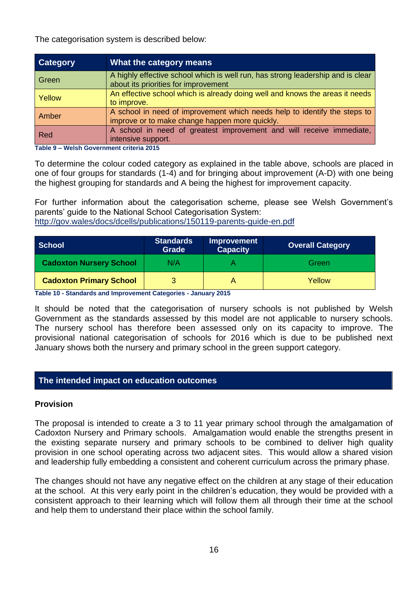The categorisation system is described below:

| <b>Category</b> | What the category means                                                                                                     |
|-----------------|-----------------------------------------------------------------------------------------------------------------------------|
| Green           | A highly effective school which is well run, has strong leadership and is clear<br>about its priorities for improvement     |
| <b>Yellow</b>   | An effective school which is already doing well and knows the areas it needs<br>to improve.                                 |
| Amber           | A school in need of improvement which needs help to identify the steps to<br>improve or to make change happen more quickly. |
| Red             | A school in need of greatest improvement and will receive immediate,<br>intensive support.                                  |

**Table 9 – Welsh Government criteria 2015**

To determine the colour coded category as explained in the table above, schools are placed in one of four groups for standards (1-4) and for bringing about improvement (A-D) with one being the highest grouping for standards and A being the highest for improvement capacity.

For further information about the categorisation scheme, please see Welsh Government's parents' guide to the National School Categorisation System:

<http://gov.wales/docs/dcells/publications/150119-parents-guide-en.pdf>

| <b>School</b>                  | <b>Standards</b><br>Grade | <b>Improvement</b><br><b>Capacity</b> | <b>Overall Category</b> |
|--------------------------------|---------------------------|---------------------------------------|-------------------------|
| <b>Cadoxton Nursery School</b> | N/A                       |                                       | Green                   |
| <b>Cadoxton Primary School</b> |                           |                                       | Yellow                  |

**Table 10 - Standards and Improvement Categories - January 2015**

It should be noted that the categorisation of nursery schools is not published by Welsh Government as the standards assessed by this model are not applicable to nursery schools. The nursery school has therefore been assessed only on its capacity to improve. The provisional national categorisation of schools for 2016 which is due to be published next January shows both the nursery and primary school in the green support category.

#### <span id="page-15-0"></span>**The intended impact on education outcomes**

#### **Provision**

The proposal is intended to create a 3 to 11 year primary school through the amalgamation of Cadoxton Nursery and Primary schools. Amalgamation would enable the strengths present in the existing separate nursery and primary schools to be combined to deliver high quality provision in one school operating across two adjacent sites. This would allow a shared vision and leadership fully embedding a consistent and coherent curriculum across the primary phase.

The changes should not have any negative effect on the children at any stage of their education at the school. At this very early point in the children's education, they would be provided with a consistent approach to their learning which will follow them all through their time at the school and help them to understand their place within the school family.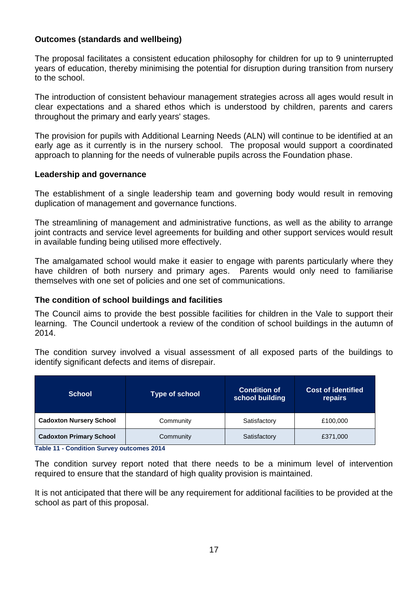#### **Outcomes (standards and wellbeing)**

The proposal facilitates a consistent education philosophy for children for up to 9 uninterrupted years of education, thereby minimising the potential for disruption during transition from nursery to the school.

The introduction of consistent behaviour management strategies across all ages would result in clear expectations and a shared ethos which is understood by children, parents and carers throughout the primary and early years' stages.

The provision for pupils with Additional Learning Needs (ALN) will continue to be identified at an early age as it currently is in the nursery school. The proposal would support a coordinated approach to planning for the needs of vulnerable pupils across the Foundation phase.

#### **Leadership and governance**

The establishment of a single leadership team and governing body would result in removing duplication of management and governance functions.

The streamlining of management and administrative functions, as well as the ability to arrange joint contracts and service level agreements for building and other support services would result in available funding being utilised more effectively.

The amalgamated school would make it easier to engage with parents particularly where they have children of both nursery and primary ages. Parents would only need to familiarise themselves with one set of policies and one set of communications.

#### **The condition of school buildings and facilities**

The Council aims to provide the best possible facilities for children in the Vale to support their learning. The Council undertook a review of the condition of school buildings in the autumn of 2014.

The condition survey involved a visual assessment of all exposed parts of the buildings to identify significant defects and items of disrepair.

| <b>School</b>                  | <b>Type of school</b> | <b>Condition of</b><br>school building | <b>Cost of identified</b><br>repairs |  |
|--------------------------------|-----------------------|----------------------------------------|--------------------------------------|--|
| <b>Cadoxton Nursery School</b> | Community             | Satisfactory                           | £100,000                             |  |
| <b>Cadoxton Primary School</b> | Community             | Satisfactory                           | £371,000                             |  |

**Table 11 - Condition Survey outcomes 2014**

The condition survey report noted that there needs to be a minimum level of intervention required to ensure that the standard of high quality provision is maintained.

It is not anticipated that there will be any requirement for additional facilities to be provided at the school as part of this proposal.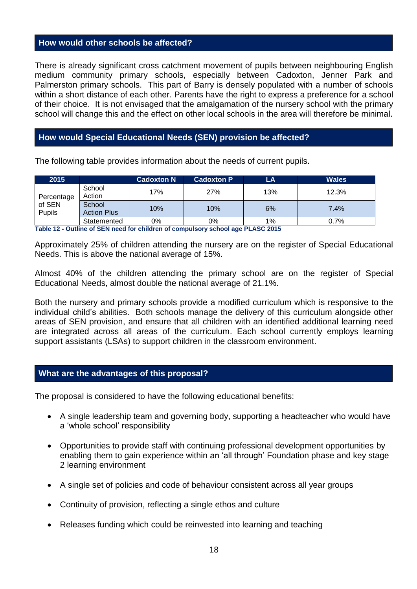#### <span id="page-17-0"></span>**How would other schools be affected?**

There is already significant cross catchment movement of pupils between neighbouring English medium community primary schools, especially between Cadoxton, Jenner Park and Palmerston primary schools. This part of Barry is densely populated with a number of schools within a short distance of each other. Parents have the right to express a preference for a school of their choice. It is not envisaged that the amalgamation of the nursery school with the primary school will change this and the effect on other local schools in the area will therefore be minimal.

#### <span id="page-17-1"></span>**How would Special Educational Needs (SEN) provision be affected?**

The following table provides information about the needs of current pupils.

| 2015                           |                              | <b>Cadoxton N</b> | <b>Cadoxton P</b> | LA  | <b>Wales</b> |
|--------------------------------|------------------------------|-------------------|-------------------|-----|--------------|
| Percentage<br>of SEN<br>Pupils | School<br>Action             | 17%               | 27%               | 13% | 12.3%        |
|                                | School<br><b>Action Plus</b> | 10%               | 10%               | 6%  | 7.4%         |
|                                | Statemented                  | 0%                | 0%                | 1%  | 0.7%         |

**Table 12 - Outline of SEN need for children of compulsory school age PLASC 2015**

Approximately 25% of children attending the nursery are on the register of Special Educational Needs. This is above the national average of 15%.

Almost 40% of the children attending the primary school are on the register of Special Educational Needs, almost double the national average of 21.1%.

Both the nursery and primary schools provide a modified curriculum which is responsive to the individual child's abilities. Both schools manage the delivery of this curriculum alongside other areas of SEN provision, and ensure that all children with an identified additional learning need are integrated across all areas of the curriculum. Each school currently employs learning support assistants (LSAs) to support children in the classroom environment.

#### <span id="page-17-2"></span>**What are the advantages of this proposal?**

The proposal is considered to have the following educational benefits:

- A single leadership team and governing body, supporting a headteacher who would have a 'whole school' responsibility
- Opportunities to provide staff with continuing professional development opportunities by enabling them to gain experience within an 'all through' Foundation phase and key stage 2 learning environment
- A single set of policies and code of behaviour consistent across all year groups
- Continuity of provision, reflecting a single ethos and culture
- Releases funding which could be reinvested into learning and teaching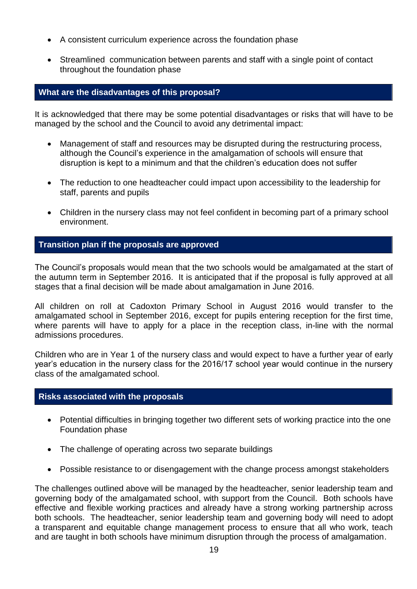- A consistent curriculum experience across the foundation phase
- Streamlined communication between parents and staff with a single point of contact throughout the foundation phase

#### <span id="page-18-0"></span>**What are the disadvantages of this proposal?**

It is acknowledged that there may be some potential disadvantages or risks that will have to be managed by the school and the Council to avoid any detrimental impact:

- Management of staff and resources may be disrupted during the restructuring process, although the Council's experience in the amalgamation of schools will ensure that disruption is kept to a minimum and that the children's education does not suffer
- The reduction to one headteacher could impact upon accessibility to the leadership for staff, parents and pupils
- Children in the nursery class may not feel confident in becoming part of a primary school environment.

#### **Transition plan if the proposals are approved**

The Council's proposals would mean that the two schools would be amalgamated at the start of the autumn term in September 2016. It is anticipated that if the proposal is fully approved at all stages that a final decision will be made about amalgamation in June 2016.

All children on roll at Cadoxton Primary School in August 2016 would transfer to the amalgamated school in September 2016, except for pupils entering reception for the first time, where parents will have to apply for a place in the reception class, in-line with the normal admissions procedures.

Children who are in Year 1 of the nursery class and would expect to have a further year of early year's education in the nursery class for the 2016/17 school year would continue in the nursery class of the amalgamated school.

#### **Risks associated with the proposals**

- Potential difficulties in bringing together two different sets of working practice into the one Foundation phase
- The challenge of operating across two separate buildings
- Possible resistance to or disengagement with the change process amongst stakeholders

The challenges outlined above will be managed by the headteacher, senior leadership team and governing body of the amalgamated school, with support from the Council. Both schools have effective and flexible working practices and already have a strong working partnership across both schools. The headteacher, senior leadership team and governing body will need to adopt a transparent and equitable change management process to ensure that all who work, teach and are taught in both schools have minimum disruption through the process of amalgamation.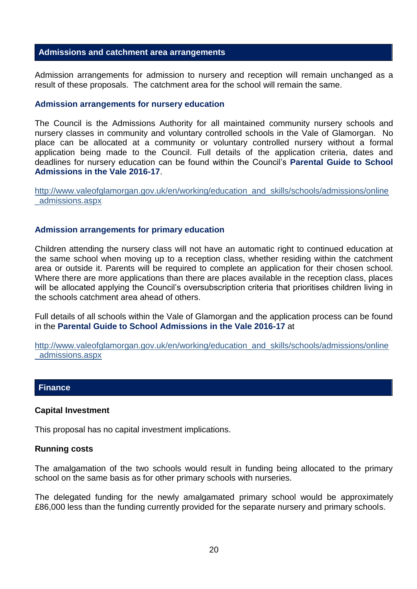#### <span id="page-19-0"></span>**Admissions and catchment area arrangements**

Admission arrangements for admission to nursery and reception will remain unchanged as a result of these proposals. The catchment area for the school will remain the same.

#### **Admission arrangements for nursery education**

The Council is the Admissions Authority for all maintained community nursery schools and nursery classes in community and voluntary controlled schools in the Vale of Glamorgan. No place can be allocated at a community or voluntary controlled nursery without a formal application being made to the Council. Full details of the application criteria, dates and deadlines for nursery education can be found within the Council's **Parental Guide to School Admissions in the Vale 2016-17**.

[http://www.valeofglamorgan.gov.uk/en/working/education\\_and\\_skills/schools/admissions/online](http://www.valeofglamorgan.gov.uk/en/working/education_and_skills/schools/admissions/online_admissions.aspx) [\\_admissions.aspx](http://www.valeofglamorgan.gov.uk/en/working/education_and_skills/schools/admissions/online_admissions.aspx)

#### **Admission arrangements for primary education**

Children attending the nursery class will not have an automatic right to continued education at the same school when moving up to a reception class, whether residing within the catchment area or outside it. Parents will be required to complete an application for their chosen school. Where there are more applications than there are places available in the reception class, places will be allocated applying the Council's oversubscription criteria that prioritises children living in the schools catchment area ahead of others.

Full details of all schools within the Vale of Glamorgan and the application process can be found in the **Parental Guide to School Admissions in the Vale 2016-17** at

[http://www.valeofglamorgan.gov.uk/en/working/education\\_and\\_skills/schools/admissions/online](http://www.valeofglamorgan.gov.uk/en/working/education_and_skills/schools/admissions/online_admissions.aspx) [\\_admissions.aspx](http://www.valeofglamorgan.gov.uk/en/working/education_and_skills/schools/admissions/online_admissions.aspx)

#### <span id="page-19-1"></span>**Finance**

#### **Capital Investment**

This proposal has no capital investment implications.

#### **Running costs**

The amalgamation of the two schools would result in funding being allocated to the primary school on the same basis as for other primary schools with nurseries.

The delegated funding for the newly amalgamated primary school would be approximately £86,000 less than the funding currently provided for the separate nursery and primary schools.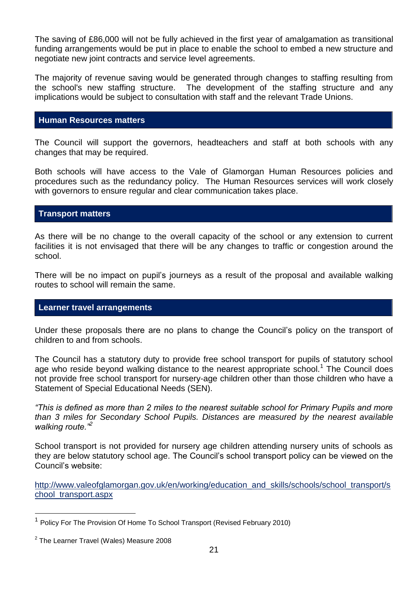The saving of £86,000 will not be fully achieved in the first year of amalgamation as transitional funding arrangements would be put in place to enable the school to embed a new structure and negotiate new joint contracts and service level agreements.

The majority of revenue saving would be generated through changes to staffing resulting from the school's new staffing structure. The development of the staffing structure and any implications would be subject to consultation with staff and the relevant Trade Unions.

#### <span id="page-20-0"></span>**Human Resources matters**

The Council will support the governors, headteachers and staff at both schools with any changes that may be required.

Both schools will have access to the Vale of Glamorgan Human Resources policies and procedures such as the redundancy policy. The Human Resources services will work closely with governors to ensure regular and clear communication takes place.

#### **Transport matters**

As there will be no change to the overall capacity of the school or any extension to current facilities it is not envisaged that there will be any changes to traffic or congestion around the school.

There will be no impact on pupil's journeys as a result of the proposal and available walking routes to school will remain the same.

#### <span id="page-20-1"></span>**Learner travel arrangements**

Under these proposals there are no plans to change the Council's policy on the transport of children to and from schools.

The Council has a statutory duty to provide free school transport for pupils of statutory school age who reside beyond walking distance to the nearest appropriate school.<sup>1</sup> The Council does not provide free school transport for nursery-age children other than those children who have a Statement of Special Educational Needs (SEN).

*"This is defined as more than 2 miles to the nearest suitable school for Primary Pupils and more than 3 miles for Secondary School Pupils. Distances are measured by the nearest available walking route."<sup>2</sup>*

School transport is not provided for nursery age children attending nursery units of schools as they are below statutory school age. The Council's school transport policy can be viewed on the Council's website:

http://www.valeofglamorgan.gov.uk/en/working/education and skills/schools/school transport/s [chool\\_transport.aspx](http://www.valeofglamorgan.gov.uk/en/working/education_and_skills/schools/school_transport/school_transport.aspx)

 $\overline{a}$ 

<sup>1</sup> Policy For The Provision Of Home To School Transport (Revised February 2010)

 $^2$  The Learner Travel (Wales) Measure 2008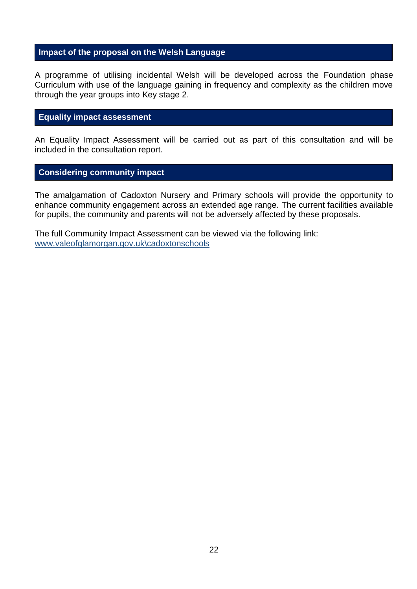#### <span id="page-21-0"></span>**Impact of the proposal on the Welsh Language**

A programme of utilising incidental Welsh will be developed across the Foundation phase Curriculum with use of the language gaining in frequency and complexity as the children move through the year groups into Key stage 2.

#### **Equality impact assessment**

An Equality Impact Assessment will be carried out as part of this consultation and will be included in the consultation report.

#### **Considering community impact**

The amalgamation of Cadoxton Nursery and Primary schools will provide the opportunity to enhance community engagement across an extended age range. The current facilities available for pupils, the community and parents will not be adversely affected by these proposals.

The full Community Impact Assessment can be viewed via the following link: [www.valeofglamorgan.gov.uk\cadoxtonschools](http://www.valeofglamorgan.gov.uk/cadoxtonschools)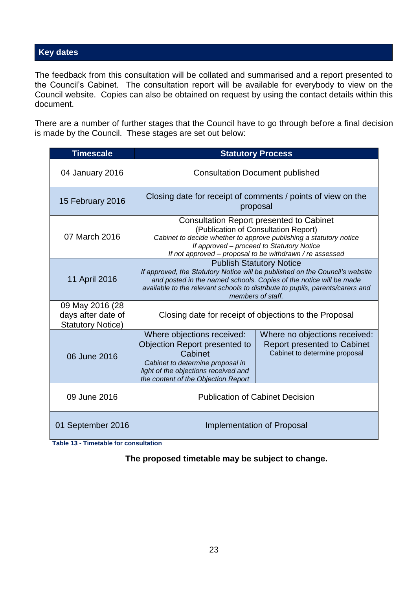#### <span id="page-22-0"></span>**Key dates**

The feedback from this consultation will be collated and summarised and a report presented to the Council's Cabinet. The consultation report will be available for everybody to view on the Council website. Copies can also be obtained on request by using the contact details within this document.

There are a number of further stages that the Council have to go through before a final decision is made by the Council. These stages are set out below:

| <b>Timescale</b>                                                  | <b>Statutory Process</b>                                                                                                                                                                                                                                                                    |                                                                                                      |  |  |  |
|-------------------------------------------------------------------|---------------------------------------------------------------------------------------------------------------------------------------------------------------------------------------------------------------------------------------------------------------------------------------------|------------------------------------------------------------------------------------------------------|--|--|--|
| 04 January 2016                                                   | <b>Consultation Document published</b>                                                                                                                                                                                                                                                      |                                                                                                      |  |  |  |
| 15 February 2016                                                  |                                                                                                                                                                                                                                                                                             | Closing date for receipt of comments / points of view on the<br>proposal                             |  |  |  |
| 07 March 2016                                                     | <b>Consultation Report presented to Cabinet</b><br>(Publication of Consultation Report)<br>Cabinet to decide whether to approve publishing a statutory notice<br>If approved – proceed to Statutory Notice<br>If not approved – proposal to be withdrawn / re assessed                      |                                                                                                      |  |  |  |
| 11 April 2016                                                     | <b>Publish Statutory Notice</b><br>If approved, the Statutory Notice will be published on the Council's website<br>and posted in the named schools. Copies of the notice will be made<br>available to the relevant schools to distribute to pupils, parents/carers and<br>members of staff. |                                                                                                      |  |  |  |
| 09 May 2016 (28<br>days after date of<br><b>Statutory Notice)</b> | Closing date for receipt of objections to the Proposal                                                                                                                                                                                                                                      |                                                                                                      |  |  |  |
| 06 June 2016                                                      | Where objections received:<br><b>Objection Report presented to</b><br>Cabinet<br>Cabinet to determine proposal in<br>light of the objections received and<br>the content of the Objection Report                                                                                            | Where no objections received:<br><b>Report presented to Cabinet</b><br>Cabinet to determine proposal |  |  |  |
| 09 June 2016                                                      | <b>Publication of Cabinet Decision</b>                                                                                                                                                                                                                                                      |                                                                                                      |  |  |  |
| 01 September 2016                                                 | Implementation of Proposal                                                                                                                                                                                                                                                                  |                                                                                                      |  |  |  |

 **Table 13 - Timetable for consultation**

**The proposed timetable may be subject to change.**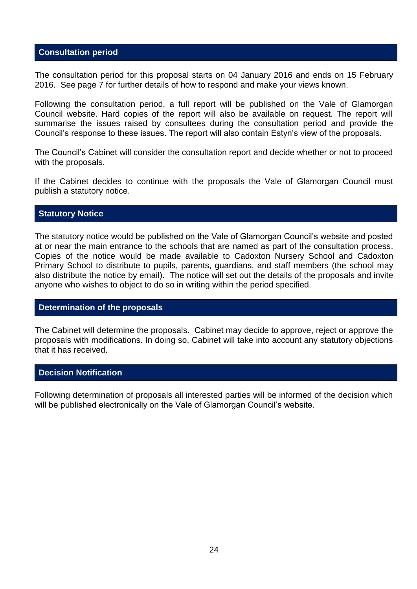#### **Consultation period**

The consultation period for this proposal starts on 04 January 2016 and ends on 15 February 2016. See page 7 for further details of how to respond and make your views known.

Following the consultation period, a full report will be published on the Vale of Glamorgan Council website. Hard copies of the report will also be available on request. The report will summarise the issues raised by consultees during the consultation period and provide the Council's response to these issues. The report will also contain Estyn's view of the proposals.

The Council's Cabinet will consider the consultation report and decide whether or not to proceed with the proposals.

If the Cabinet decides to continue with the proposals the Vale of Glamorgan Council must publish a statutory notice.

#### **Statutory Notice**

The statutory notice would be published on the Vale of Glamorgan Council's website and posted at or near the main entrance to the schools that are named as part of the consultation process. Copies of the notice would be made available to Cadoxton Nursery School and Cadoxton Primary School to distribute to pupils, parents, guardians, and staff members (the school may also distribute the notice by email). The notice will set out the details of the proposals and invite anyone who wishes to object to do so in writing within the period specified.

#### **Determination of the proposals**

The Cabinet will determine the proposals. Cabinet may decide to approve, reject or approve the proposals with modifications. In doing so, Cabinet will take into account any statutory objections that it has received.

#### **Decision Notification**

Following determination of proposals all interested parties will be informed of the decision which will be published electronically on the Vale of Glamorgan Council's website.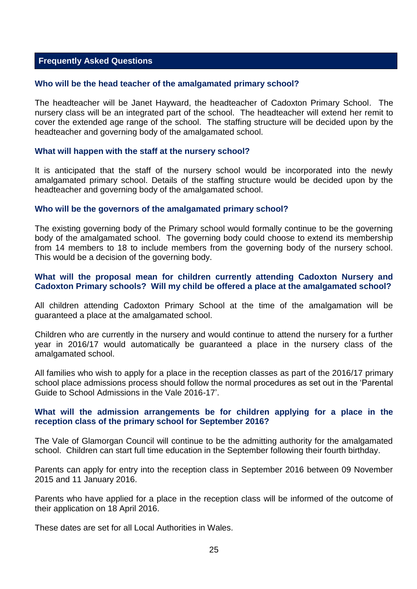#### <span id="page-24-0"></span>**Frequently Asked Questions**

#### **Who will be the head teacher of the amalgamated primary school?**

The headteacher will be Janet Hayward, the headteacher of Cadoxton Primary School. The nursery class will be an integrated part of the school. The headteacher will extend her remit to cover the extended age range of the school. The staffing structure will be decided upon by the headteacher and governing body of the amalgamated school.

#### **What will happen with the staff at the nursery school?**

It is anticipated that the staff of the nursery school would be incorporated into the newly amalgamated primary school. Details of the staffing structure would be decided upon by the headteacher and governing body of the amalgamated school.

#### **Who will be the governors of the amalgamated primary school?**

The existing governing body of the Primary school would formally continue to be the governing body of the amalgamated school. The governing body could choose to extend its membership from 14 members to 18 to include members from the governing body of the nursery school. This would be a decision of the governing body.

#### **What will the proposal mean for children currently attending Cadoxton Nursery and Cadoxton Primary schools? Will my child be offered a place at the amalgamated school?**

All children attending Cadoxton Primary School at the time of the amalgamation will be guaranteed a place at the amalgamated school.

Children who are currently in the nursery and would continue to attend the nursery for a further year in 2016/17 would automatically be guaranteed a place in the nursery class of the amalgamated school.

All families who wish to apply for a place in the reception classes as part of the 2016/17 primary school place admissions process should follow the normal procedures as set out in the 'Parental Guide to School Admissions in the Vale 2016-17'.

#### **What will the admission arrangements be for children applying for a place in the reception class of the primary school for September 2016?**

The Vale of Glamorgan Council will continue to be the admitting authority for the amalgamated school. Children can start full time education in the September following their fourth birthday.

Parents can apply for entry into the reception class in September 2016 between 09 November 2015 and 11 January 2016.

Parents who have applied for a place in the reception class will be informed of the outcome of their application on 18 April 2016.

These dates are set for all Local Authorities in Wales.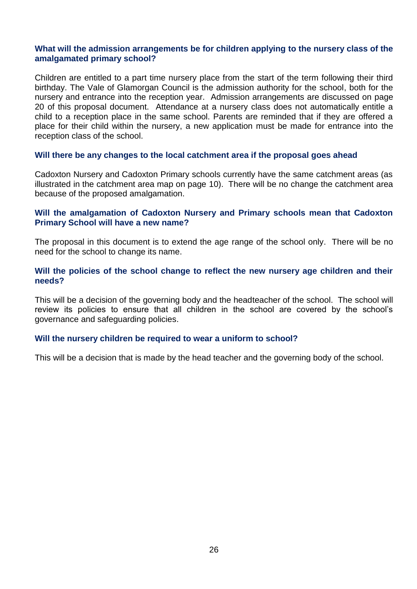#### **What will the admission arrangements be for children applying to the nursery class of the amalgamated primary school?**

Children are entitled to a part time nursery place from the start of the term following their third birthday. The Vale of Glamorgan Council is the admission authority for the school, both for the nursery and entrance into the reception year. Admission arrangements are discussed on page 20 of this proposal document. Attendance at a nursery class does not automatically entitle a child to a reception place in the same school. Parents are reminded that if they are offered a place for their child within the nursery, a new application must be made for entrance into the reception class of the school.

#### **Will there be any changes to the local catchment area if the proposal goes ahead**

Cadoxton Nursery and Cadoxton Primary schools currently have the same catchment areas (as illustrated in the catchment area map on page 10). There will be no change the catchment area because of the proposed amalgamation.

#### **Will the amalgamation of Cadoxton Nursery and Primary schools mean that Cadoxton Primary School will have a new name?**

The proposal in this document is to extend the age range of the school only. There will be no need for the school to change its name.

#### **Will the policies of the school change to reflect the new nursery age children and their needs?**

This will be a decision of the governing body and the headteacher of the school. The school will review its policies to ensure that all children in the school are covered by the school's governance and safeguarding policies.

#### **Will the nursery children be required to wear a uniform to school?**

This will be a decision that is made by the head teacher and the governing body of the school.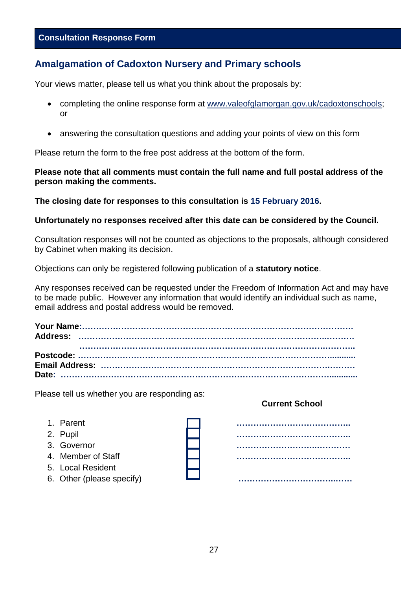#### <span id="page-26-0"></span>**Amalgamation of Cadoxton Nursery and Primary schools**

Your views matter, please tell us what you think about the proposals by:

- completing the online response form at www.valeofglamorgan.gov.uk/cadoxtonschools; or
- answering the consultation questions and adding your points of view on this form

Please return the form to the free post address at the bottom of the form.

**Please note that all comments must contain the full name and full postal address of the person making the comments.** 

**The closing date for responses to this consultation is 15 February 2016.** 

#### **Unfortunately no responses received after this date can be considered by the Council.**

Consultation responses will not be counted as objections to the proposals, although considered by Cabinet when making its decision.

Objections can only be registered following publication of a **statutory notice**.

Any responses received can be requested under the Freedom of Information Act and may have to be made public. However any information that would identify an individual such as name, email address and postal address would be removed.

Please tell us whether you are responding as:

- 
- 
- 
- 
- 5. Local Resident
- 

#### **Current School**

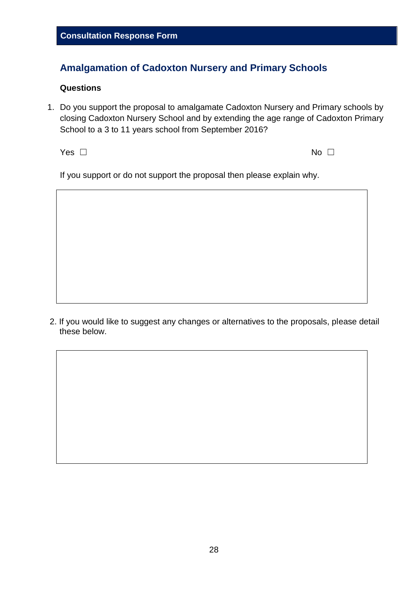#### **Amalgamation of Cadoxton Nursery and Primary Schools**

#### **Questions**

1. Do you support the proposal to amalgamate Cadoxton Nursery and Primary schools by closing Cadoxton Nursery School and by extending the age range of Cadoxton Primary School to a 3 to 11 years school from September 2016?

 $\mathsf{Yes} \ \Box$ 

If you support or do not support the proposal then please explain why.

2. If you would like to suggest any changes or alternatives to the proposals, please detail these below.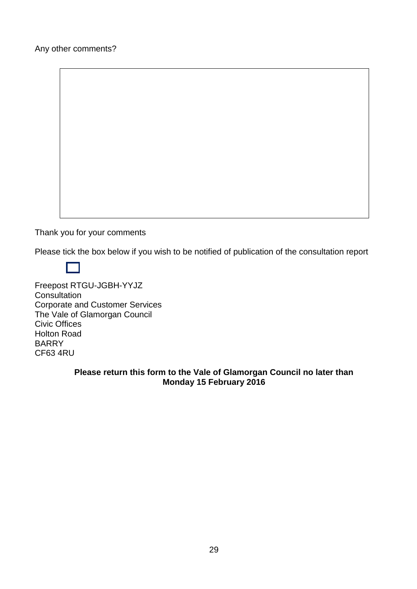Thank you for your comments

Please tick the box below if you wish to be notified of publication of the consultation report

Freepost RTGU-JGBH-YYJZ **Consultation** Corporate and Customer Services The Vale of Glamorgan Council Civic Offices Holton Road BARRY CF63 4RU

#### **Please return this form to the Vale of Glamorgan Council no later than Monday 15 February 2016**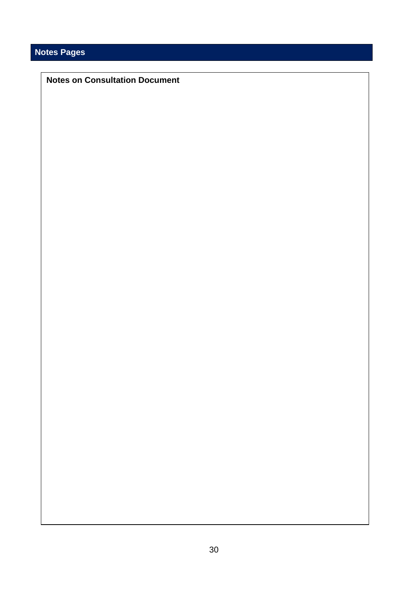### **Notes Pages**

#### **Notes on Consultation Document**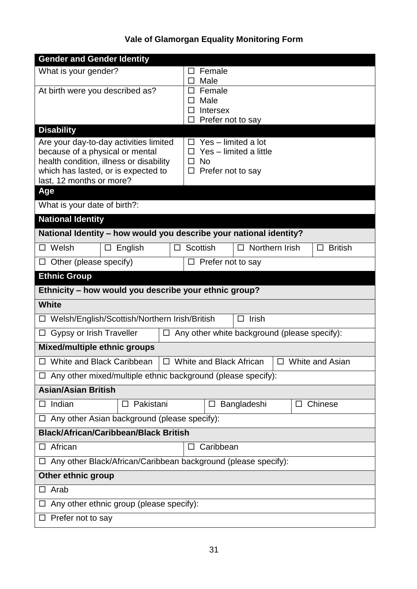## **Vale of Glamorgan Equality Monitoring Form**

| <b>Gender and Gender Identity</b>                                                                                                                                                       |                                                                                                |  |  |  |
|-----------------------------------------------------------------------------------------------------------------------------------------------------------------------------------------|------------------------------------------------------------------------------------------------|--|--|--|
| What is your gender?                                                                                                                                                                    | Female<br>ப                                                                                    |  |  |  |
| At birth were you described as?                                                                                                                                                         | Male<br>□<br>Female<br>□                                                                       |  |  |  |
|                                                                                                                                                                                         | Male<br>囗                                                                                      |  |  |  |
|                                                                                                                                                                                         | <b>Intersex</b><br>ப<br>Prefer not to say<br>П                                                 |  |  |  |
| <b>Disability</b>                                                                                                                                                                       |                                                                                                |  |  |  |
| Are your day-to-day activities limited<br>because of a physical or mental<br>health condition, illness or disability<br>which has lasted, or is expected to<br>last, 12 months or more? | Yes - limited a lot<br>Yes - limited a little<br><b>No</b><br>$\Box$<br>Prefer not to say<br>□ |  |  |  |
| Age                                                                                                                                                                                     |                                                                                                |  |  |  |
| What is your date of birth?:                                                                                                                                                            |                                                                                                |  |  |  |
| <b>National Identity</b>                                                                                                                                                                |                                                                                                |  |  |  |
| National Identity - how would you describe your national identity?                                                                                                                      |                                                                                                |  |  |  |
| Welsh<br>English<br>П<br>□                                                                                                                                                              | Northern Irish<br><b>British</b><br><b>Scottish</b><br>□<br>□                                  |  |  |  |
| Other (please specify)<br>ப                                                                                                                                                             | Prefer not to say<br>$\Box$                                                                    |  |  |  |
| <b>Ethnic Group</b>                                                                                                                                                                     |                                                                                                |  |  |  |
| Ethnicity - how would you describe your ethnic group?                                                                                                                                   |                                                                                                |  |  |  |
| <b>White</b>                                                                                                                                                                            |                                                                                                |  |  |  |
| □ Welsh/English/Scottish/Northern Irish/British                                                                                                                                         | $\Box$ Irish                                                                                   |  |  |  |
| Gypsy or Irish Traveller<br>$\Box$<br>ப                                                                                                                                                 | Any other white background (please specify):                                                   |  |  |  |
| <b>Mixed/multiple ethnic groups</b>                                                                                                                                                     |                                                                                                |  |  |  |
| □ White and Black Caribbean                                                                                                                                                             | $\Box$ White and Black African<br>White and Asian<br>□                                         |  |  |  |
| $\Box$ Any other mixed/multiple ethnic background (please specify):                                                                                                                     |                                                                                                |  |  |  |
| <b>Asian/Asian British</b>                                                                                                                                                              |                                                                                                |  |  |  |
| Indian<br>Pakistani<br>□                                                                                                                                                                | Bangladeshi<br>Chinese<br>$\Box$                                                               |  |  |  |
| Any other Asian background (please specify):                                                                                                                                            |                                                                                                |  |  |  |
| <b>Black/African/Caribbean/Black British</b>                                                                                                                                            |                                                                                                |  |  |  |
| African<br>□                                                                                                                                                                            | Caribbean<br>□                                                                                 |  |  |  |
| $\Box$ Any other Black/African/Caribbean background (please specify):                                                                                                                   |                                                                                                |  |  |  |
| <b>Other ethnic group</b>                                                                                                                                                               |                                                                                                |  |  |  |
| Arab                                                                                                                                                                                    |                                                                                                |  |  |  |
| $\Box$ Any other ethnic group (please specify):                                                                                                                                         |                                                                                                |  |  |  |
| Prefer not to say                                                                                                                                                                       |                                                                                                |  |  |  |